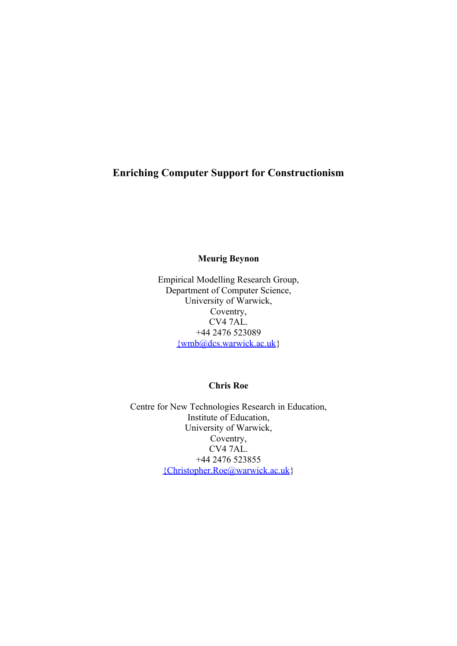# **Enriching Computer Support for Constructionism**

**Meurig Beynon**

Empirical Modelling Research Group, Department of Computer Science, University of Warwick, Coventry, CV4 7AL. +44 2476 523089 [{wmb@dcs.warwick.ac.uk}](mailto:%7Bwmb@dcs.warwick.ac.uk)

# **Chris Roe**

Centre for New Technologies Research in Education, Institute of Education, University of Warwick, Coventry, CV4 7AL. +44 2476 523855 [{Christopher.Roe@warwick.ac.uk}](mailto:%7BChristopher.Roe@warwick.ac.uk)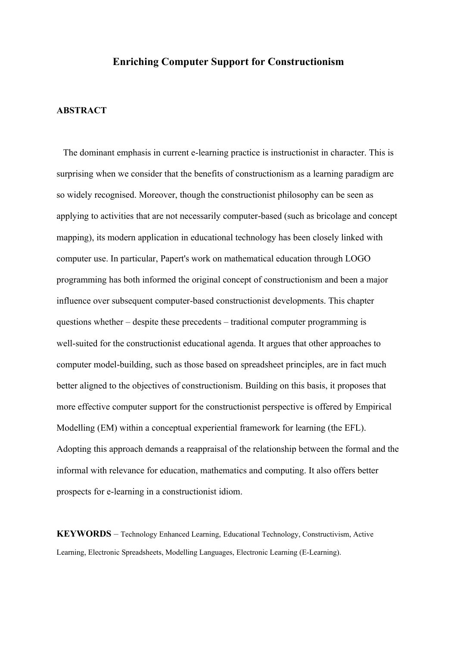# **Enriching Computer Support for Constructionism**

#### **ABSTRACT**

The dominant emphasis in current e-learning practice is instructionist in character. This is surprising when we consider that the benefits of constructionism as a learning paradigm are so widely recognised. Moreover, though the constructionist philosophy can be seen as applying to activities that are not necessarily computer-based (such as bricolage and concept mapping), its modern application in educational technology has been closely linked with computer use. In particular, Papert's work on mathematical education through LOGO programming has both informed the original concept of constructionism and been a major influence over subsequent computer-based constructionist developments. This chapter questions whether – despite these precedents – traditional computer programming is well-suited for the constructionist educational agenda. It argues that other approaches to computer model-building, such as those based on spreadsheet principles, are in fact much better aligned to the objectives of constructionism. Building on this basis, it proposes that more effective computer support for the constructionist perspective is offered by Empirical Modelling (EM) within a conceptual experiential framework for learning (the EFL). Adopting this approach demands a reappraisal of the relationship between the formal and the informal with relevance for education, mathematics and computing. It also offers better prospects for e-learning in a constructionist idiom.

**KEYWORDS** – Technology Enhanced Learning, Educational Technology, Constructivism, Active Learning, Electronic Spreadsheets, Modelling Languages, Electronic Learning (E-Learning).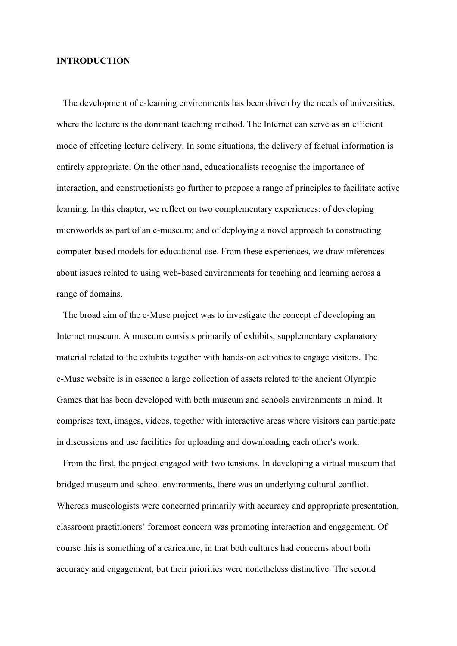### **INTRODUCTION**

The development of e-learning environments has been driven by the needs of universities, where the lecture is the dominant teaching method. The Internet can serve as an efficient mode of effecting lecture delivery. In some situations, the delivery of factual information is entirely appropriate. On the other hand, educationalists recognise the importance of interaction, and constructionists go further to propose a range of principles to facilitate active learning. In this chapter, we reflect on two complementary experiences: of developing microworlds as part of an e-museum; and of deploying a novel approach to constructing computer-based models for educational use. From these experiences, we draw inferences about issues related to using web-based environments for teaching and learning across a range of domains.

The broad aim of the e-Muse project was to investigate the concept of developing an Internet museum. A museum consists primarily of exhibits, supplementary explanatory material related to the exhibits together with hands-on activities to engage visitors. The e-Muse website is in essence a large collection of assets related to the ancient Olympic Games that has been developed with both museum and schools environments in mind. It comprises text, images, videos, together with interactive areas where visitors can participate in discussions and use facilities for uploading and downloading each other's work.

From the first, the project engaged with two tensions. In developing a virtual museum that bridged museum and school environments, there was an underlying cultural conflict. Whereas museologists were concerned primarily with accuracy and appropriate presentation, classroom practitioners' foremost concern was promoting interaction and engagement. Of course this is something of a caricature, in that both cultures had concerns about both accuracy and engagement, but their priorities were nonetheless distinctive. The second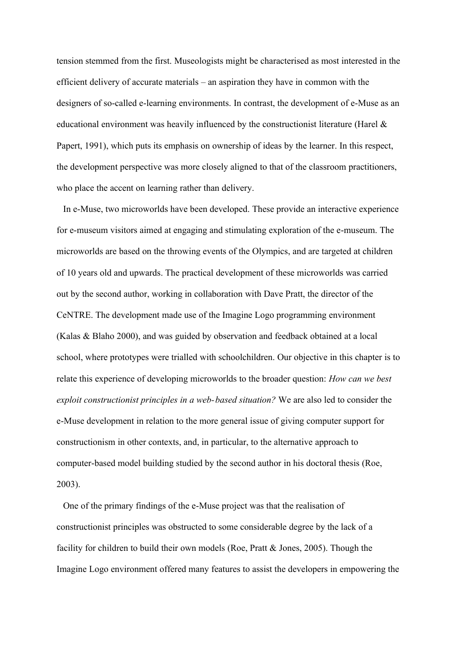tension stemmed from the first. Museologists might be characterised as most interested in the efficient delivery of accurate materials – an aspiration they have in common with the designers of so-called e-learning environments. In contrast, the development of e-Muse as an educational environment was heavily influenced by the constructionist literature (Harel & Papert, 1991), which puts its emphasis on ownership of ideas by the learner. In this respect, the development perspective was more closely aligned to that of the classroom practitioners, who place the accent on learning rather than delivery.

In e-Muse, two microworlds have been developed. These provide an interactive experience for e-museum visitors aimed at engaging and stimulating exploration of the e-museum. The microworlds are based on the throwing events of the Olympics, and are targeted at children of 10 years old and upwards. The practical development of these microworlds was carried out by the second author, working in collaboration with Dave Pratt, the director of the CeNTRE. The development made use of the Imagine Logo programming environment (Kalas & Blaho 2000), and was guided by observation and feedback obtained at a local school, where prototypes were trialled with schoolchildren. Our objective in this chapter is to relate this experience of developing microworlds to the broader question: *How can we best exploit constructionist principles in a web-based situation?* We are also led to consider the e-Muse development in relation to the more general issue of giving computer support for constructionism in other contexts, and, in particular, to the alternative approach to computer-based model building studied by the second author in his doctoral thesis (Roe, 2003).

One of the primary findings of the e-Muse project was that the realisation of constructionist principles was obstructed to some considerable degree by the lack of a facility for children to build their own models (Roe, Pratt & Jones, 2005). Though the Imagine Logo environment offered many features to assist the developers in empowering the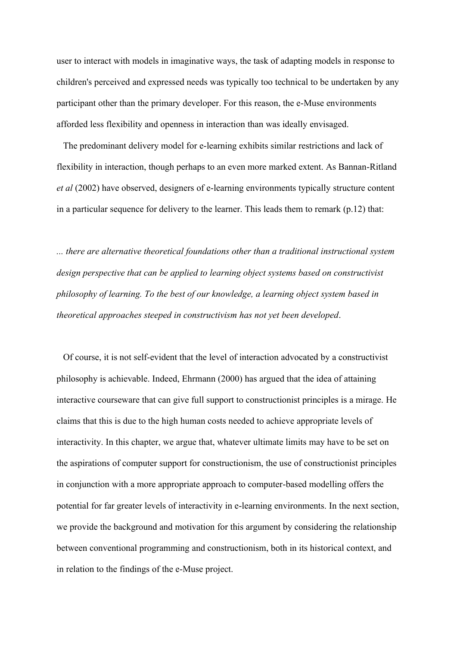user to interact with models in imaginative ways, the task of adapting models in response to children's perceived and expressed needs was typically too technical to be undertaken by any participant other than the primary developer. For this reason, the e-Muse environments afforded less flexibility and openness in interaction than was ideally envisaged.

The predominant delivery model for e-learning exhibits similar restrictions and lack of flexibility in interaction, though perhaps to an even more marked extent. As Bannan-Ritland *et al* (2002) have observed, designers of e-learning environments typically structure content in a particular sequence for delivery to the learner. This leads them to remark  $(p.12)$  that:

*... there are alternative theoretical foundations other than a traditional instructional system design perspective that can be applied to learning object systems based on constructivist philosophy of learning. To the best of our knowledge, a learning object system based in theoretical approaches steeped in constructivism has not yet been developed*.

Of course, it is not self-evident that the level of interaction advocated by a constructivist philosophy is achievable. Indeed, Ehrmann (2000) has argued that the idea of attaining interactive courseware that can give full support to constructionist principles is a mirage. He claims that this is due to the high human costs needed to achieve appropriate levels of interactivity. In this chapter, we argue that, whatever ultimate limits may have to be set on the aspirations of computer support for constructionism, the use of constructionist principles in conjunction with a more appropriate approach to computer-based modelling offers the potential for far greater levels of interactivity in e-learning environments. In the next section, we provide the background and motivation for this argument by considering the relationship between conventional programming and constructionism, both in its historical context, and in relation to the findings of the e-Muse project.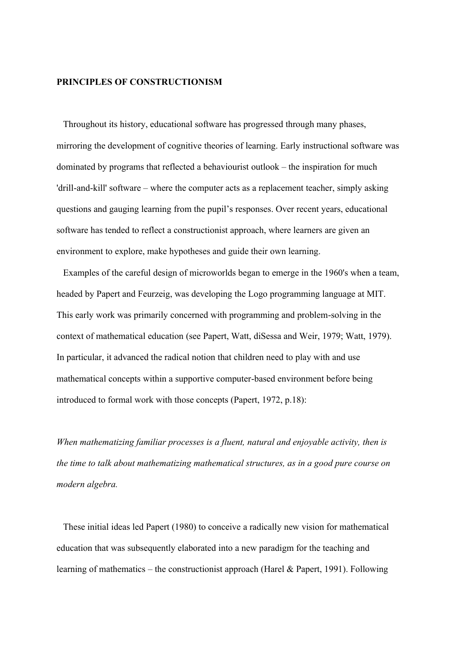## **PRINCIPLES OF CONSTRUCTIONISM**

Throughout its history, educational software has progressed through many phases, mirroring the development of cognitive theories of learning. Early instructional software was dominated by programs that reflected a behaviourist outlook – the inspiration for much 'drill-and-kill' software – where the computer acts as a replacement teacher, simply asking questions and gauging learning from the pupil's responses. Over recent years, educational software has tended to reflect a constructionist approach, where learners are given an environment to explore, make hypotheses and guide their own learning.

Examples of the careful design of microworlds began to emerge in the 1960's when a team, headed by Papert and Feurzeig, was developing the Logo programming language at MIT. This early work was primarily concerned with programming and problem-solving in the context of mathematical education (see Papert, Watt, diSessa and Weir, 1979; Watt, 1979). In particular, it advanced the radical notion that children need to play with and use mathematical concepts within a supportive computer-based environment before being introduced to formal work with those concepts (Papert, 1972, p.18):

*When mathematizing familiar processes is a fluent, natural and enjoyable activity, then is the time to talk about mathematizing mathematical structures, as in a good pure course on modern algebra.*

These initial ideas led Papert (1980) to conceive a radically new vision for mathematical education that was subsequently elaborated into a new paradigm for the teaching and learning of mathematics – the constructionist approach (Harel & Papert, 1991). Following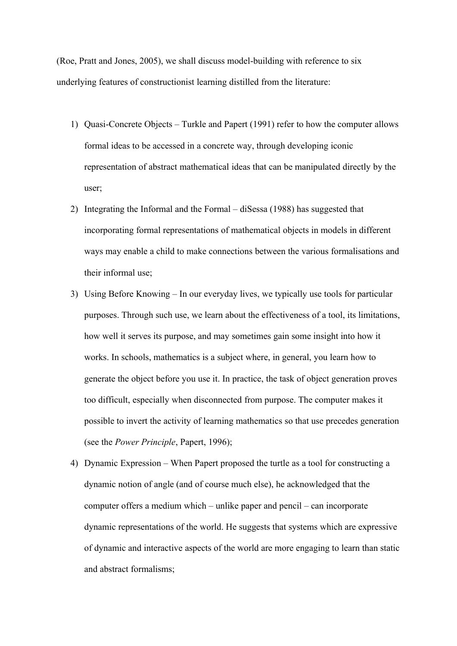(Roe, Pratt and Jones, 2005), we shall discuss model-building with reference to six underlying features of constructionist learning distilled from the literature:

- 1) Quasi-Concrete Objects Turkle and Papert (1991) refer to how the computer allows formal ideas to be accessed in a concrete way, through developing iconic representation of abstract mathematical ideas that can be manipulated directly by the user;
- 2) Integrating the Informal and the Formal diSessa (1988) has suggested that incorporating formal representations of mathematical objects in models in different ways may enable a child to make connections between the various formalisations and their informal use;
- 3) Using Before Knowing In our everyday lives, we typically use tools for particular purposes. Through such use, we learn about the effectiveness of a tool, its limitations, how well it serves its purpose, and may sometimes gain some insight into how it works. In schools, mathematics is a subject where, in general, you learn how to generate the object before you use it. In practice, the task of object generation proves too difficult, especially when disconnected from purpose. The computer makes it possible to invert the activity of learning mathematics so that use precedes generation (see the *Power Principle*, Papert, 1996);
- 4) Dynamic Expression When Papert proposed the turtle as a tool for constructing a dynamic notion of angle (and of course much else), he acknowledged that the computer offers a medium which – unlike paper and pencil – can incorporate dynamic representations of the world. He suggests that systems which are expressive of dynamic and interactive aspects of the world are more engaging to learn than static and abstract formalisms;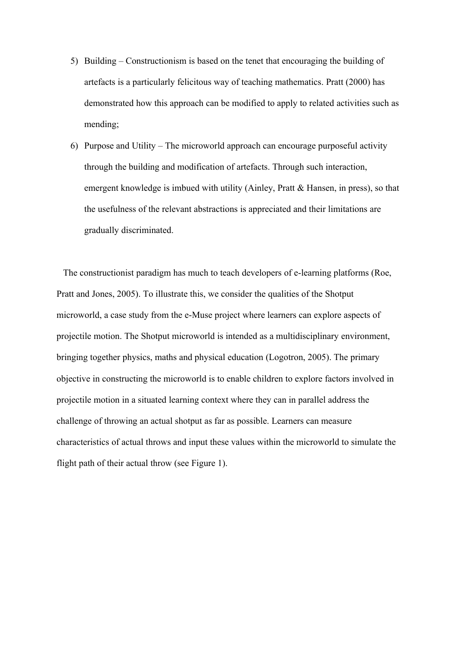- 5) Building Constructionism is based on the tenet that encouraging the building of artefacts is a particularly felicitous way of teaching mathematics. Pratt (2000) has demonstrated how this approach can be modified to apply to related activities such as mending;
- 6) Purpose and Utility The microworld approach can encourage purposeful activity through the building and modification of artefacts. Through such interaction, emergent knowledge is imbued with utility (Ainley, Pratt & Hansen, in press), so that the usefulness of the relevant abstractions is appreciated and their limitations are gradually discriminated.

The constructionist paradigm has much to teach developers of e-learning platforms (Roe, Pratt and Jones, 2005). To illustrate this, we consider the qualities of the Shotput microworld, a case study from the e-Muse project where learners can explore aspects of projectile motion. The Shotput microworld is intended as a multidisciplinary environment, bringing together physics, maths and physical education (Logotron, 2005). The primary objective in constructing the microworld is to enable children to explore factors involved in projectile motion in a situated learning context where they can in parallel address the challenge of throwing an actual shotput as far as possible. Learners can measure characteristics of actual throws and input these values within the microworld to simulate the flight path of their actual throw (see Figure 1).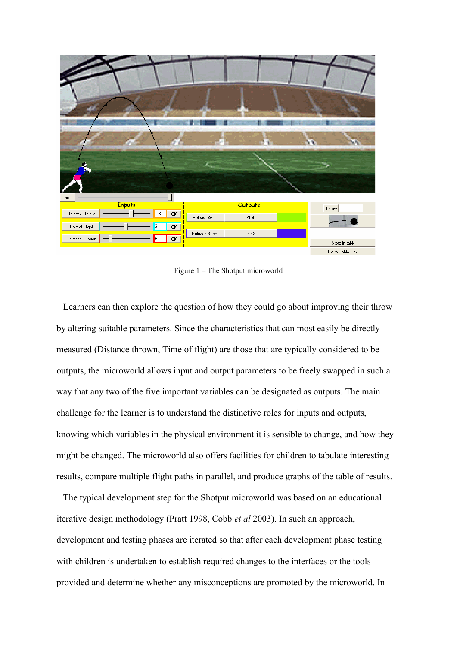

Figure 1 – The Shotput microworld

Learners can then explore the question of how they could go about improving their throw by altering suitable parameters. Since the characteristics that can most easily be directly measured (Distance thrown, Time of flight) are those that are typically considered to be outputs, the microworld allows input and output parameters to be freely swapped in such a way that any two of the five important variables can be designated as outputs. The main challenge for the learner is to understand the distinctive roles for inputs and outputs, knowing which variables in the physical environment it is sensible to change, and how they might be changed. The microworld also offers facilities for children to tabulate interesting results, compare multiple flight paths in parallel, and produce graphs of the table of results.

The typical development step for the Shotput microworld was based on an educational iterative design methodology (Pratt 1998, Cobb *et al* 2003). In such an approach, development and testing phases are iterated so that after each development phase testing with children is undertaken to establish required changes to the interfaces or the tools provided and determine whether any misconceptions are promoted by the microworld. In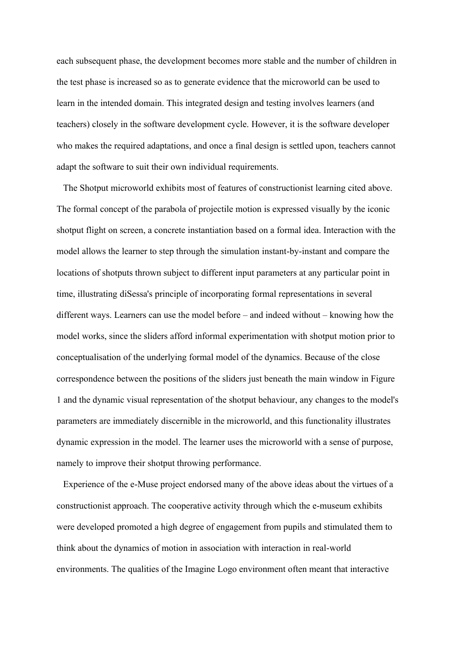each subsequent phase, the development becomes more stable and the number of children in the test phase is increased so as to generate evidence that the microworld can be used to learn in the intended domain. This integrated design and testing involves learners (and teachers) closely in the software development cycle. However, it is the software developer who makes the required adaptations, and once a final design is settled upon, teachers cannot adapt the software to suit their own individual requirements.

The Shotput microworld exhibits most of features of constructionist learning cited above. The formal concept of the parabola of projectile motion is expressed visually by the iconic shotput flight on screen, a concrete instantiation based on a formal idea. Interaction with the model allows the learner to step through the simulation instant-by-instant and compare the locations of shotputs thrown subject to different input parameters at any particular point in time, illustrating diSessa's principle of incorporating formal representations in several different ways. Learners can use the model before – and indeed without – knowing how the model works, since the sliders afford informal experimentation with shotput motion prior to conceptualisation of the underlying formal model of the dynamics. Because of the close correspondence between the positions of the sliders just beneath the main window in Figure 1 and the dynamic visual representation of the shotput behaviour, any changes to the model's parameters are immediately discernible in the microworld, and this functionality illustrates dynamic expression in the model. The learner uses the microworld with a sense of purpose, namely to improve their shotput throwing performance.

Experience of the e-Muse project endorsed many of the above ideas about the virtues of a constructionist approach. The cooperative activity through which the e-museum exhibits were developed promoted a high degree of engagement from pupils and stimulated them to think about the dynamics of motion in association with interaction in real-world environments. The qualities of the Imagine Logo environment often meant that interactive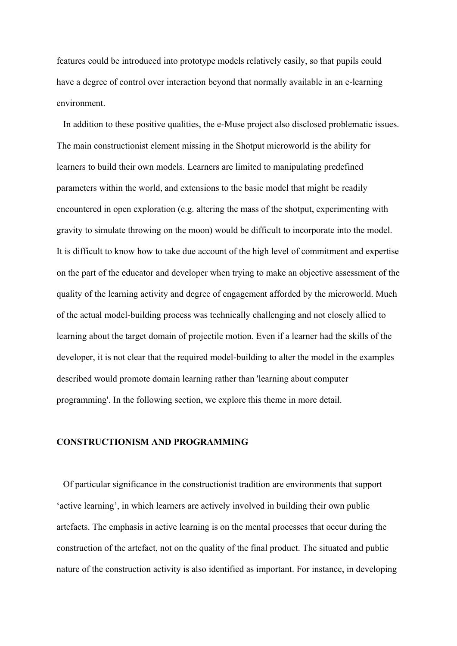features could be introduced into prototype models relatively easily, so that pupils could have a degree of control over interaction beyond that normally available in an e-learning environment.

In addition to these positive qualities, the e-Muse project also disclosed problematic issues. The main constructionist element missing in the Shotput microworld is the ability for learners to build their own models. Learners are limited to manipulating predefined parameters within the world, and extensions to the basic model that might be readily encountered in open exploration (e.g. altering the mass of the shotput, experimenting with gravity to simulate throwing on the moon) would be difficult to incorporate into the model. It is difficult to know how to take due account of the high level of commitment and expertise on the part of the educator and developer when trying to make an objective assessment of the quality of the learning activity and degree of engagement afforded by the microworld. Much of the actual model-building process was technically challenging and not closely allied to learning about the target domain of projectile motion. Even if a learner had the skills of the developer, it is not clear that the required model-building to alter the model in the examples described would promote domain learning rather than 'learning about computer programming'. In the following section, we explore this theme in more detail.

## **CONSTRUCTIONISM AND PROGRAMMING**

Of particular significance in the constructionist tradition are environments that support 'active learning', in which learners are actively involved in building their own public artefacts. The emphasis in active learning is on the mental processes that occur during the construction of the artefact, not on the quality of the final product. The situated and public nature of the construction activity is also identified as important. For instance, in developing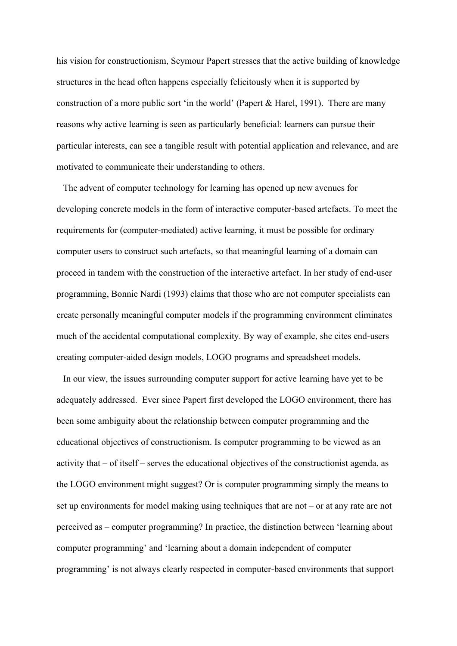his vision for constructionism, Seymour Papert stresses that the active building of knowledge structures in the head often happens especially felicitously when it is supported by construction of a more public sort 'in the world' (Papert & Harel, 1991). There are many reasons why active learning is seen as particularly beneficial: learners can pursue their particular interests, can see a tangible result with potential application and relevance, and are motivated to communicate their understanding to others.

The advent of computer technology for learning has opened up new avenues for developing concrete models in the form of interactive computer-based artefacts. To meet the requirements for (computer-mediated) active learning, it must be possible for ordinary computer users to construct such artefacts, so that meaningful learning of a domain can proceed in tandem with the construction of the interactive artefact. In her study of end-user programming, Bonnie Nardi (1993) claims that those who are not computer specialists can create personally meaningful computer models if the programming environment eliminates much of the accidental computational complexity. By way of example, she cites end-users creating computer-aided design models, LOGO programs and spreadsheet models.

In our view, the issues surrounding computer support for active learning have yet to be adequately addressed. Ever since Papert first developed the LOGO environment, there has been some ambiguity about the relationship between computer programming and the educational objectives of constructionism. Is computer programming to be viewed as an activity that – of itself – serves the educational objectives of the constructionist agenda, as the LOGO environment might suggest? Or is computer programming simply the means to set up environments for model making using techniques that are not – or at any rate are not perceived as – computer programming? In practice, the distinction between 'learning about computer programming' and 'learning about a domain independent of computer programming' is not always clearly respected in computer-based environments that support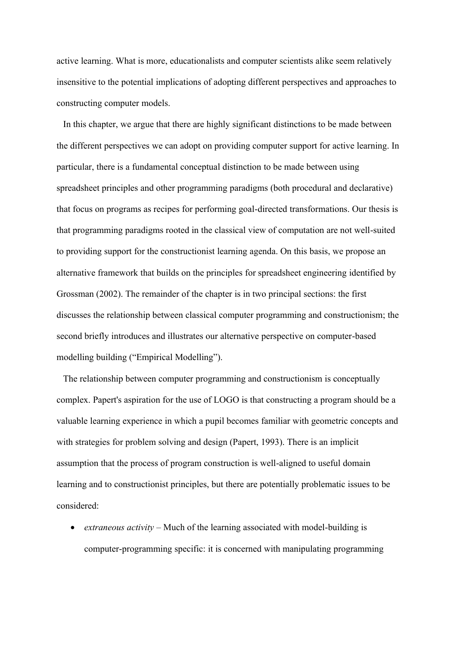active learning. What is more, educationalists and computer scientists alike seem relatively insensitive to the potential implications of adopting different perspectives and approaches to constructing computer models.

In this chapter, we argue that there are highly significant distinctions to be made between the different perspectives we can adopt on providing computer support for active learning. In particular, there is a fundamental conceptual distinction to be made between using spreadsheet principles and other programming paradigms (both procedural and declarative) that focus on programs as recipes for performing goal-directed transformations. Our thesis is that programming paradigms rooted in the classical view of computation are not well-suited to providing support for the constructionist learning agenda. On this basis, we propose an alternative framework that builds on the principles for spreadsheet engineering identified by Grossman (2002). The remainder of the chapter is in two principal sections: the first discusses the relationship between classical computer programming and constructionism; the second briefly introduces and illustrates our alternative perspective on computer-based modelling building ("Empirical Modelling").

The relationship between computer programming and constructionism is conceptually complex. Papert's aspiration for the use of LOGO is that constructing a program should be a valuable learning experience in which a pupil becomes familiar with geometric concepts and with strategies for problem solving and design (Papert, 1993). There is an implicit assumption that the process of program construction is well-aligned to useful domain learning and to constructionist principles, but there are potentially problematic issues to be considered:

 *extraneous activity* – Much of the learning associated with model-building is computer-programming specific: it is concerned with manipulating programming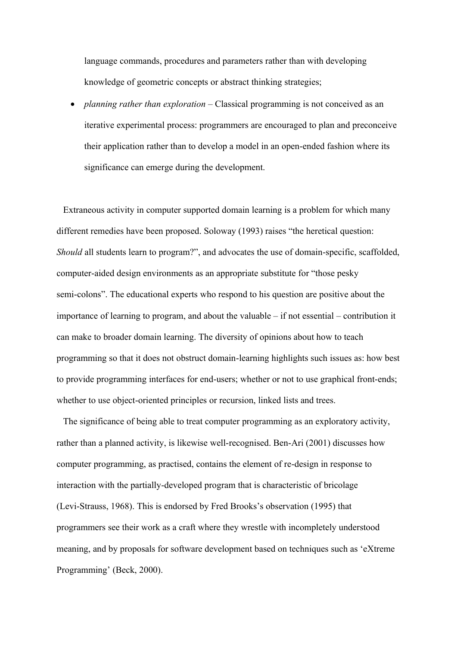language commands, procedures and parameters rather than with developing knowledge of geometric concepts or abstract thinking strategies;

 *planning rather than exploration* – Classical programming is not conceived as an iterative experimental process: programmers are encouraged to plan and preconceive their application rather than to develop a model in an open-ended fashion where its significance can emerge during the development.

Extraneous activity in computer supported domain learning is a problem for which many different remedies have been proposed. Soloway (1993) raises "the heretical question: *Should* all students learn to program?", and advocates the use of domain-specific, scaffolded, computer-aided design environments as an appropriate substitute for "those pesky semi-colons". The educational experts who respond to his question are positive about the importance of learning to program, and about the valuable – if not essential – contribution it can make to broader domain learning. The diversity of opinions about how to teach programming so that it does not obstruct domain-learning highlights such issues as: how best to provide programming interfaces for end-users; whether or not to use graphical front-ends; whether to use object-oriented principles or recursion, linked lists and trees.

The significance of being able to treat computer programming as an exploratory activity, rather than a planned activity, is likewise well-recognised. Ben-Ari (2001) discusses how computer programming, as practised, contains the element of re-design in response to interaction with the partially-developed program that is characteristic of bricolage (Levi-Strauss, 1968). This is endorsed by Fred Brooks's observation (1995) that programmers see their work as a craft where they wrestle with incompletely understood meaning, and by proposals for software development based on techniques such as 'eXtreme Programming' (Beck, 2000).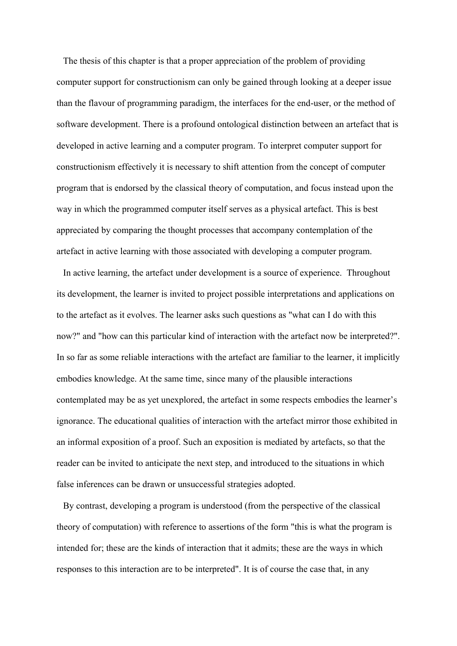The thesis of this chapter is that a proper appreciation of the problem of providing computer support for constructionism can only be gained through looking at a deeper issue than the flavour of programming paradigm, the interfaces for the end-user, or the method of software development. There is a profound ontological distinction between an artefact that is developed in active learning and a computer program. To interpret computer support for constructionism effectively it is necessary to shift attention from the concept of computer program that is endorsed by the classical theory of computation, and focus instead upon the way in which the programmed computer itself serves as a physical artefact. This is best appreciated by comparing the thought processes that accompany contemplation of the artefact in active learning with those associated with developing a computer program.

In active learning, the artefact under development is a source of experience. Throughout its development, the learner is invited to project possible interpretations and applications on to the artefact as it evolves. The learner asks such questions as "what can I do with this now?" and "how can this particular kind of interaction with the artefact now be interpreted?". In so far as some reliable interactions with the artefact are familiar to the learner, it implicitly embodies knowledge. At the same time, since many of the plausible interactions contemplated may be as yet unexplored, the artefact in some respects embodies the learner's ignorance. The educational qualities of interaction with the artefact mirror those exhibited in an informal exposition of a proof. Such an exposition is mediated by artefacts, so that the reader can be invited to anticipate the next step, and introduced to the situations in which false inferences can be drawn or unsuccessful strategies adopted.

By contrast, developing a program is understood (from the perspective of the classical theory of computation) with reference to assertions of the form "this is what the program is intended for; these are the kinds of interaction that it admits; these are the ways in which responses to this interaction are to be interpreted". It is of course the case that, in any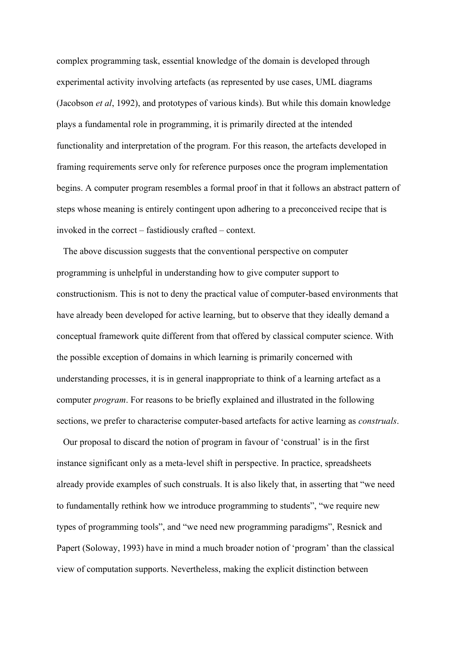complex programming task, essential knowledge of the domain is developed through experimental activity involving artefacts (as represented by use cases, UML diagrams (Jacobson *et al*, 1992), and prototypes of various kinds). But while this domain knowledge plays a fundamental role in programming, it is primarily directed at the intended functionality and interpretation of the program. For this reason, the artefacts developed in framing requirements serve only for reference purposes once the program implementation begins. A computer program resembles a formal proof in that it follows an abstract pattern of steps whose meaning is entirely contingent upon adhering to a preconceived recipe that is invoked in the correct – fastidiously crafted – context.

The above discussion suggests that the conventional perspective on computer programming is unhelpful in understanding how to give computer support to constructionism. This is not to deny the practical value of computer-based environments that have already been developed for active learning, but to observe that they ideally demand a conceptual framework quite different from that offered by classical computer science. With the possible exception of domains in which learning is primarily concerned with understanding processes, it is in general inappropriate to think of a learning artefact as a computer *program*. For reasons to be briefly explained and illustrated in the following sections, we prefer to characterise computer-based artefacts for active learning as *construals*.

Our proposal to discard the notion of program in favour of 'construal' is in the first instance significant only as a meta-level shift in perspective. In practice, spreadsheets already provide examples of such construals. It is also likely that, in asserting that "we need to fundamentally rethink how we introduce programming to students", "we require new types of programming tools", and "we need new programming paradigms", Resnick and Papert (Soloway, 1993) have in mind a much broader notion of 'program' than the classical view of computation supports. Nevertheless, making the explicit distinction between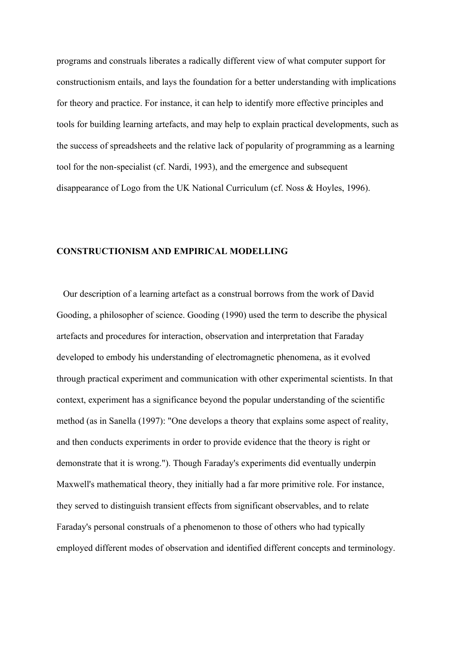programs and construals liberates a radically different view of what computer support for constructionism entails, and lays the foundation for a better understanding with implications for theory and practice. For instance, it can help to identify more effective principles and tools for building learning artefacts, and may help to explain practical developments, such as the success of spreadsheets and the relative lack of popularity of programming as a learning tool for the non-specialist (cf. Nardi, 1993), and the emergence and subsequent disappearance of Logo from the UK National Curriculum (cf. Noss & Hoyles, 1996).

## **CONSTRUCTIONISM AND EMPIRICAL MODELLING**

Our description of a learning artefact as a construal borrows from the work of David Gooding, a philosopher of science. Gooding (1990) used the term to describe the physical artefacts and procedures for interaction, observation and interpretation that Faraday developed to embody his understanding of electromagnetic phenomena, as it evolved through practical experiment and communication with other experimental scientists. In that context, experiment has a significance beyond the popular understanding of the scientific method (as in Sanella (1997): "One develops a theory that explains some aspect of reality, and then conducts experiments in order to provide evidence that the theory is right or demonstrate that it is wrong."). Though Faraday's experiments did eventually underpin Maxwell's mathematical theory, they initially had a far more primitive role. For instance, they served to distinguish transient effects from significant observables, and to relate Faraday's personal construals of a phenomenon to those of others who had typically employed different modes of observation and identified different concepts and terminology.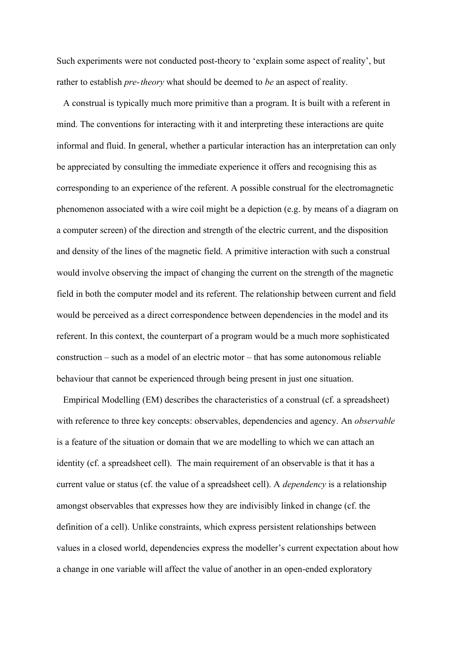Such experiments were not conducted post-theory to 'explain some aspect of reality', but rather to establish *pre-theory* what should be deemed to *be* an aspect of reality.

A construal is typically much more primitive than a program. It is built with a referent in mind. The conventions for interacting with it and interpreting these interactions are quite informal and fluid. In general, whether a particular interaction has an interpretation can only be appreciated by consulting the immediate experience it offers and recognising this as corresponding to an experience of the referent. A possible construal for the electromagnetic phenomenon associated with a wire coil might be a depiction (e.g. by means of a diagram on a computer screen) of the direction and strength of the electric current, and the disposition and density of the lines of the magnetic field. A primitive interaction with such a construal would involve observing the impact of changing the current on the strength of the magnetic field in both the computer model and its referent. The relationship between current and field would be perceived as a direct correspondence between dependencies in the model and its referent. In this context, the counterpart of a program would be a much more sophisticated construction – such as a model of an electric motor – that has some autonomous reliable behaviour that cannot be experienced through being present in just one situation.

Empirical Modelling (EM) describes the characteristics of a construal (cf. a spreadsheet) with reference to three key concepts: observables, dependencies and agency. An *observable* is a feature of the situation or domain that we are modelling to which we can attach an identity (cf. a spreadsheet cell). The main requirement of an observable is that it has a current value or status (cf. the value of a spreadsheet cell). A *dependency* is a relationship amongst observables that expresses how they are indivisibly linked in change (cf. the definition of a cell). Unlike constraints, which express persistent relationships between values in a closed world, dependencies express the modeller's current expectation about how a change in one variable will affect the value of another in an open-ended exploratory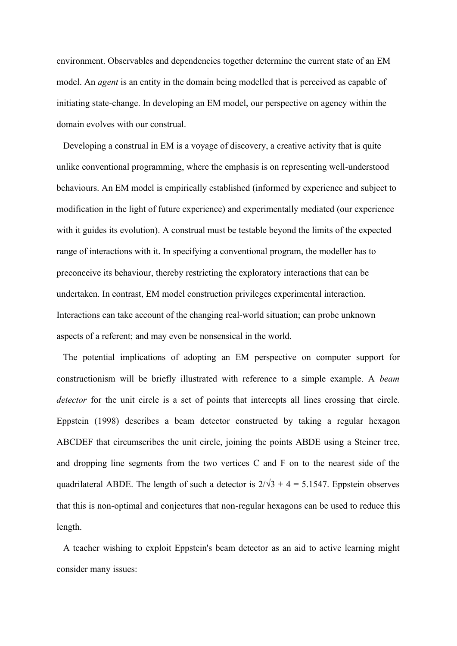environment. Observables and dependencies together determine the current state of an EM model. An *agent* is an entity in the domain being modelled that is perceived as capable of initiating state-change. In developing an EM model, our perspective on agency within the domain evolves with our construal.

Developing a construal in EM is a voyage of discovery, a creative activity that is quite unlike conventional programming, where the emphasis is on representing well-understood behaviours. An EM model is empirically established (informed by experience and subject to modification in the light of future experience) and experimentally mediated (our experience with it guides its evolution). A construal must be testable beyond the limits of the expected range of interactions with it. In specifying a conventional program, the modeller has to preconceive its behaviour, thereby restricting the exploratory interactions that can be undertaken. In contrast, EM model construction privileges experimental interaction. Interactions can take account of the changing real-world situation; can probe unknown aspects of a referent; and may even be nonsensical in the world.

The potential implications of adopting an EM perspective on computer support for constructionism will be briefly illustrated with reference to a simple example. A *beam detector* for the unit circle is a set of points that intercepts all lines crossing that circle. Eppstein (1998) describes a beam detector constructed by taking a regular hexagon ABCDEF that circumscribes the unit circle, joining the points ABDE using a Steiner tree, and dropping line segments from the two vertices C and F on to the nearest side of the quadrilateral ABDE. The length of such a detector is  $2/\sqrt{3} + 4 = 5.1547$ . Eppstein observes that this is non-optimal and conjectures that non-regular hexagons can be used to reduce this length.

A teacher wishing to exploit Eppstein's beam detector as an aid to active learning might consider many issues: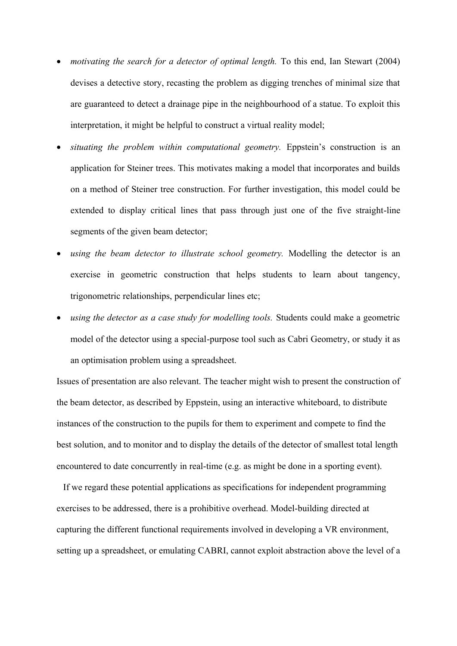- *motivating the search for a detector of optimal length*. To this end, Ian Stewart (2004) devises a detective story, recasting the problem as digging trenches of minimal size that are guaranteed to detect a drainage pipe in the neighbourhood of a statue. To exploit this interpretation, it might be helpful to construct a virtual reality model;
- *situating the problem within computational geometry*. Eppstein's construction is an application for Steiner trees. This motivates making a model that incorporates and builds on a method of Steiner tree construction. For further investigation, this model could be extended to display critical lines that pass through just one of the five straight-line segments of the given beam detector;
- *using the beam detector to illustrate school geometry.* Modelling the detector is an exercise in geometric construction that helps students to learn about tangency, trigonometric relationships, perpendicular lines etc;
- *using the detector as a case study for modelling tools.* Students could make a geometric model of the detector using a special-purpose tool such as Cabri Geometry, or study it as an optimisation problem using a spreadsheet.

Issues of presentation are also relevant. The teacher might wish to present the construction of the beam detector, as described by Eppstein, using an interactive whiteboard, to distribute instances of the construction to the pupils for them to experiment and compete to find the best solution, and to monitor and to display the details of the detector of smallest total length encountered to date concurrently in real-time (e.g. as might be done in a sporting event).

If we regard these potential applications as specifications for independent programming exercises to be addressed, there is a prohibitive overhead. Model-building directed at capturing the different functional requirements involved in developing a VR environment, setting up a spreadsheet, or emulating CABRI, cannot exploit abstraction above the level of a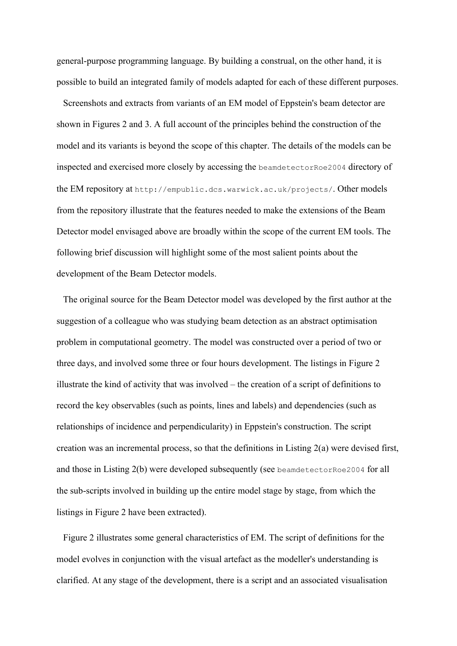general-purpose programming language. By building a construal, on the other hand, it is possible to build an integrated family of models adapted for each of these different purposes.

Screenshots and extracts from variants of an EM model of Eppstein's beam detector are shown in Figures 2 and 3. A full account of the principles behind the construction of the model and its variants is beyond the scope of this chapter. The details of the models can be inspected and exercised more closely by accessing the beamdetectorRoe2004 directory of the EM repository at http://empublic.dcs.warwick.ac.uk/projects/. Other models from the repository illustrate that the features needed to make the extensions of the Beam Detector model envisaged above are broadly within the scope of the current EM tools. The following brief discussion will highlight some of the most salient points about the development of the Beam Detector models.

The original source for the Beam Detector model was developed by the first author at the suggestion of a colleague who was studying beam detection as an abstract optimisation problem in computational geometry. The model was constructed over a period of two or three days, and involved some three or four hours development. The listings in Figure 2 illustrate the kind of activity that was involved – the creation of a script of definitions to record the key observables (such as points, lines and labels) and dependencies (such as relationships of incidence and perpendicularity) in Eppstein's construction. The script creation was an incremental process, so that the definitions in Listing 2(a) were devised first, and those in Listing 2(b) were developed subsequently (see beamdetectorRoe2004 for all the sub-scripts involved in building up the entire model stage by stage, from which the listings in Figure 2 have been extracted).

Figure 2 illustrates some general characteristics of EM. The script of definitions for the model evolves in conjunction with the visual artefact as the modeller's understanding is clarified. At any stage of the development, there is a script and an associated visualisation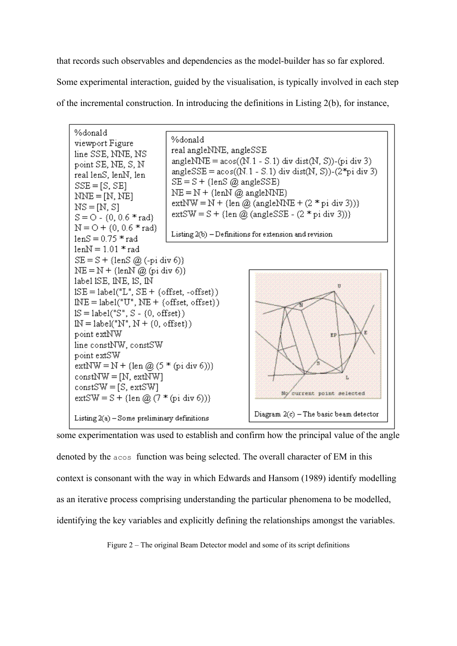that records such observables and dependencies as the model-builder has so far explored.

Some experimental interaction, guided by the visualisation, is typically involved in each step

of the incremental construction. In introducing the definitions in Listing 2(b), for instance,



some experimentation was used to establish and confirm how the principal value of the angle denoted by the acos function was being selected. The overall character of EM in this context is consonant with the way in which Edwards and Hansom (1989) identify modelling as an iterative process comprising understanding the particular phenomena to be modelled, identifying the key variables and explicitly defining the relationships amongst the variables.

Figure 2 – The original Beam Detector model and some of its script definitions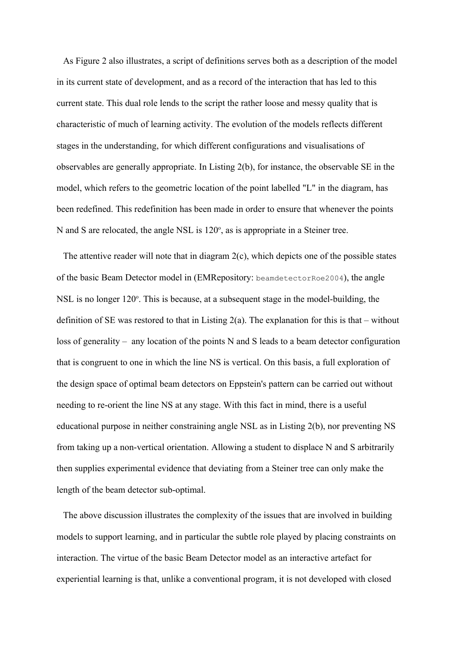As Figure 2 also illustrates, a script of definitions serves both as a description of the model in its current state of development, and as a record of the interaction that has led to this current state. This dual role lends to the script the rather loose and messy quality that is characteristic of much of learning activity. The evolution of the models reflects different stages in the understanding, for which different configurations and visualisations of observables are generally appropriate. In Listing 2(b), for instance, the observable SE in the model, which refers to the geometric location of the point labelled "L" in the diagram, has been redefined. This redefinition has been made in order to ensure that whenever the points N and S are relocated, the angle NSL is 120°, as is appropriate in a Steiner tree.

The attentive reader will note that in diagram 2(c), which depicts one of the possible states of the basic Beam Detector model in (EMRepository: beamdetectorRoe2004), the angle NSL is no longer 120°. This is because, at a subsequent stage in the model-building, the definition of SE was restored to that in Listing  $2(a)$ . The explanation for this is that – without loss of generality – any location of the points N and S leads to a beam detector configuration that is congruent to one in which the line NS is vertical. On this basis, a full exploration of the design space of optimal beam detectors on Eppstein's pattern can be carried out without needing to re-orient the line NS at any stage. With this fact in mind, there is a useful educational purpose in neither constraining angle NSL as in Listing 2(b), nor preventing NS from taking up a non-vertical orientation. Allowing a student to displace N and S arbitrarily then supplies experimental evidence that deviating from a Steiner tree can only make the length of the beam detector sub-optimal.

The above discussion illustrates the complexity of the issues that are involved in building models to support learning, and in particular the subtle role played by placing constraints on interaction. The virtue of the basic Beam Detector model as an interactive artefact for experiential learning is that, unlike a conventional program, it is not developed with closed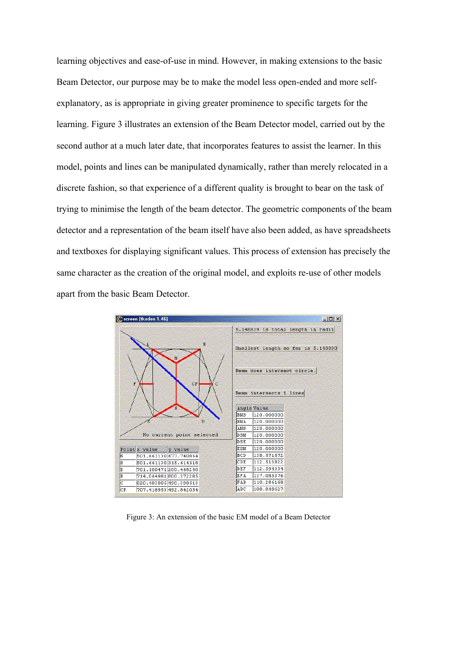learning objectives and ease-of-use in mind. However, in making extensions to the basic Beam Detector, our purpose may be to make the model less open-ended and more selfexplanatory, as is appropriate in giving greater prominence to specific targets for the learning. Figure 3 illustrates an extension of the Beam Detector model, carried out by the second author at a much later date, that incorporates features to assist the learner. In this model, points and lines can be manipulated dynamically, rather than merely relocated in a discrete fashion, so that experience of a different quality is brought to bear on the task of trying to minimise the length of the beam detector. The geometric components of the beam detector and a representation of the beam itself have also been added, as have spreadsheets and textboxes for displaying significant values. This process of extension has precisely the same character as the creation of the original model, and exploits re-use of other models apart from the basic Beam Detector.



Figure 3: An extension of the basic EM model of a Beam Detector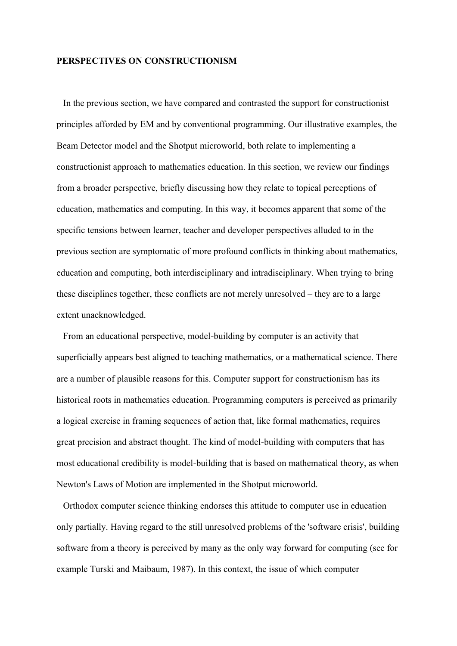#### **PERSPECTIVES ON CONSTRUCTIONISM**

In the previous section, we have compared and contrasted the support for constructionist principles afforded by EM and by conventional programming. Our illustrative examples, the Beam Detector model and the Shotput microworld, both relate to implementing a constructionist approach to mathematics education. In this section, we review our findings from a broader perspective, briefly discussing how they relate to topical perceptions of education, mathematics and computing. In this way, it becomes apparent that some of the specific tensions between learner, teacher and developer perspectives alluded to in the previous section are symptomatic of more profound conflicts in thinking about mathematics, education and computing, both interdisciplinary and intradisciplinary. When trying to bring these disciplines together, these conflicts are not merely unresolved – they are to a large extent unacknowledged.

From an educational perspective, model-building by computer is an activity that superficially appears best aligned to teaching mathematics, or a mathematical science. There are a number of plausible reasons for this. Computer support for constructionism has its historical roots in mathematics education. Programming computers is perceived as primarily a logical exercise in framing sequences of action that, like formal mathematics, requires great precision and abstract thought. The kind of model-building with computers that has most educational credibility is model-building that is based on mathematical theory, as when Newton's Laws of Motion are implemented in the Shotput microworld.

Orthodox computer science thinking endorses this attitude to computer use in education only partially. Having regard to the still unresolved problems of the 'software crisis', building software from a theory is perceived by many as the only way forward for computing (see for example Turski and Maibaum, 1987). In this context, the issue of which computer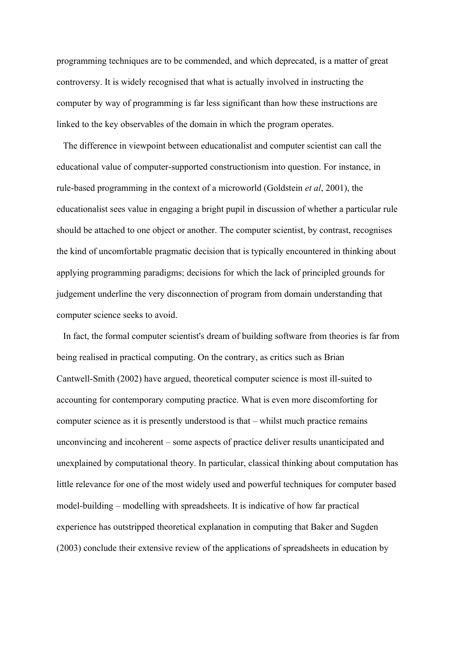programming techniques are to be commended, and which deprecated, is a matter of great controversy. It is widely recognised that what is actually involved in instructing the computer by way of programming is far less significant than how these instructions are linked to the key observables of the domain in which the program operates.

The difference in viewpoint between educationalist and computer scientist can call the educational value of computer-supported constructionism into question. For instance, in rule-based programming in the context of a microworld (Goldstein *et al*, 2001), the educationalist sees value in engaging a bright pupil in discussion of whether a particular rule should be attached to one object or another. The computer scientist, by contrast, recognises the kind of uncomfortable pragmatic decision that is typically encountered in thinking about applying programming paradigms; decisions for which the lack of principled grounds for judgement underline the very disconnection of program from domain understanding that computer science seeks to avoid.

In fact, the formal computer scientist's dream of building software from theories is far from being realised in practical computing. On the contrary, as critics such as Brian Cantwell-Smith (2002) have argued, theoretical computer science is most ill-suited to accounting for contemporary computing practice. What is even more discomforting for computer science as it is presently understood is that – whilst much practice remains unconvincing and incoherent – some aspects of practice deliver results unanticipated and unexplained by computational theory. In particular, classical thinking about computation has little relevance for one of the most widely used and powerful techniques for computer based model-building – modelling with spreadsheets. It is indicative of how far practical experience has outstripped theoretical explanation in computing that Baker and Sugden (2003) conclude their extensive review of the applications of spreadsheets in education by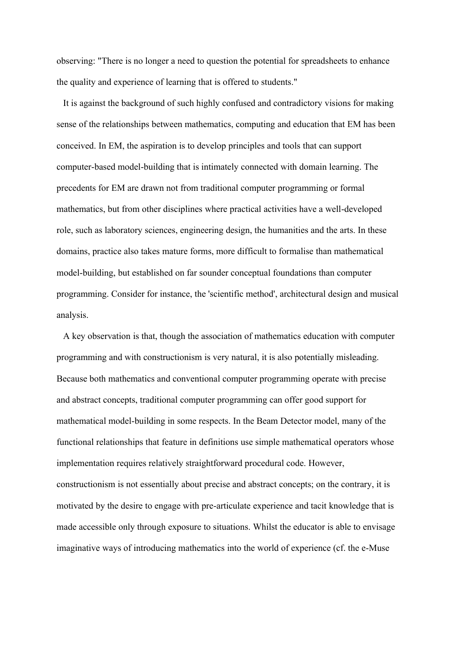observing: "There is no longer a need to question the potential for spreadsheets to enhance the quality and experience of learning that is offered to students."

It is against the background of such highly confused and contradictory visions for making sense of the relationships between mathematics, computing and education that EM has been conceived. In EM, the aspiration is to develop principles and tools that can support computer-based model-building that is intimately connected with domain learning. The precedents for EM are drawn not from traditional computer programming or formal mathematics, but from other disciplines where practical activities have a well-developed role, such as laboratory sciences, engineering design, the humanities and the arts. In these domains, practice also takes mature forms, more difficult to formalise than mathematical model-building, but established on far sounder conceptual foundations than computer programming. Consider for instance, the 'scientific method', architectural design and musical analysis.

A key observation is that, though the association of mathematics education with computer programming and with constructionism is very natural, it is also potentially misleading. Because both mathematics and conventional computer programming operate with precise and abstract concepts, traditional computer programming can offer good support for mathematical model-building in some respects. In the Beam Detector model, many of the functional relationships that feature in definitions use simple mathematical operators whose implementation requires relatively straightforward procedural code. However, constructionism is not essentially about precise and abstract concepts; on the contrary, it is motivated by the desire to engage with pre-articulate experience and tacit knowledge that is made accessible only through exposure to situations. Whilst the educator is able to envisage imaginative ways of introducing mathematics into the world of experience (cf. the e-Muse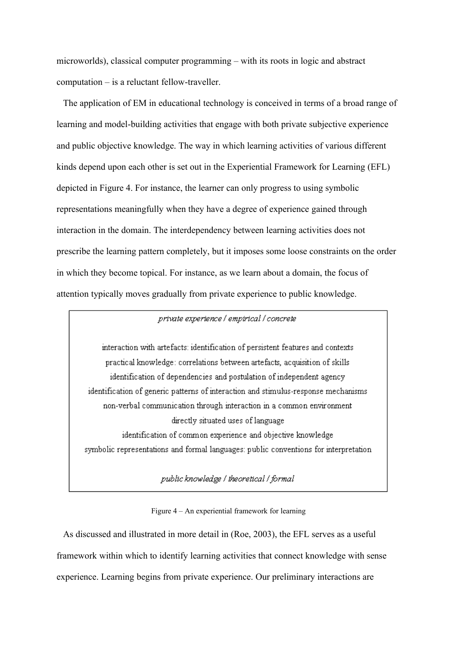microworlds), classical computer programming – with its roots in logic and abstract computation – is a reluctant fellow-traveller.

The application of EM in educational technology is conceived in terms of a broad range of learning and model-building activities that engage with both private subjective experience and public objective knowledge. The way in which learning activities of various different kinds depend upon each other is set out in the Experiential Framework for Learning (EFL) depicted in Figure 4. For instance, the learner can only progress to using symbolic representations meaningfully when they have a degree of experience gained through interaction in the domain. The interdependency between learning activities does not prescribe the learning pattern completely, but it imposes some loose constraints on the order in which they become topical. For instance, as we learn about a domain, the focus of attention typically moves gradually from private experience to public knowledge.

# private experience / empirical / concrete

interaction with artefacts: identification of persistent features and contexts practical knowledge: correlations between artefacts, acquisition of skills identification of dependencies and postulation of independent agency identification of generic patterns of interaction and stimulus-response mechanisms non-verbal communication through interaction in a common environment directly situated uses of language identification of common experience and objective knowledge symbolic representations and formal languages: public conventions for interpretation

public knowledge / theoretical / formal

Figure 4 – An experiential framework for learning

As discussed and illustrated in more detail in (Roe, 2003), the EFL serves as a useful framework within which to identify learning activities that connect knowledge with sense experience. Learning begins from private experience. Our preliminary interactions are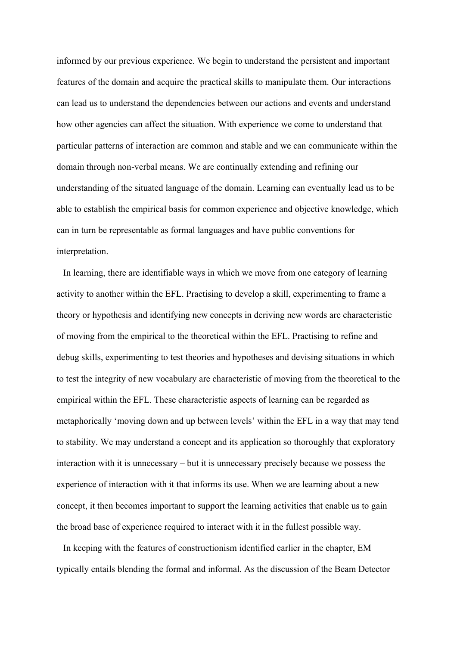informed by our previous experience. We begin to understand the persistent and important features of the domain and acquire the practical skills to manipulate them. Our interactions can lead us to understand the dependencies between our actions and events and understand how other agencies can affect the situation. With experience we come to understand that particular patterns of interaction are common and stable and we can communicate within the domain through non-verbal means. We are continually extending and refining our understanding of the situated language of the domain. Learning can eventually lead us to be able to establish the empirical basis for common experience and objective knowledge, which can in turn be representable as formal languages and have public conventions for interpretation.

In learning, there are identifiable ways in which we move from one category of learning activity to another within the EFL. Practising to develop a skill, experimenting to frame a theory or hypothesis and identifying new concepts in deriving new words are characteristic of moving from the empirical to the theoretical within the EFL. Practising to refine and debug skills, experimenting to test theories and hypotheses and devising situations in which to test the integrity of new vocabulary are characteristic of moving from the theoretical to the empirical within the EFL. These characteristic aspects of learning can be regarded as metaphorically 'moving down and up between levels' within the EFL in a way that may tend to stability. We may understand a concept and its application so thoroughly that exploratory interaction with it is unnecessary – but it is unnecessary precisely because we possess the experience of interaction with it that informs its use. When we are learning about a new concept, it then becomes important to support the learning activities that enable us to gain the broad base of experience required to interact with it in the fullest possible way.

In keeping with the features of constructionism identified earlier in the chapter, EM typically entails blending the formal and informal. As the discussion of the Beam Detector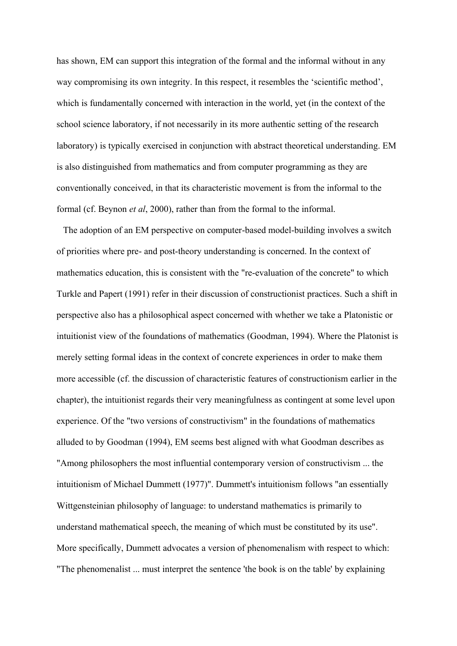has shown, EM can support this integration of the formal and the informal without in any way compromising its own integrity. In this respect, it resembles the 'scientific method', which is fundamentally concerned with interaction in the world, yet (in the context of the school science laboratory, if not necessarily in its more authentic setting of the research laboratory) is typically exercised in conjunction with abstract theoretical understanding. EM is also distinguished from mathematics and from computer programming as they are conventionally conceived, in that its characteristic movement is from the informal to the formal (cf. Beynon *et al*, 2000), rather than from the formal to the informal.

The adoption of an EM perspective on computer-based model-building involves a switch of priorities where pre- and post-theory understanding is concerned. In the context of mathematics education, this is consistent with the "re-evaluation of the concrete" to which Turkle and Papert (1991) refer in their discussion of constructionist practices. Such a shift in perspective also has a philosophical aspect concerned with whether we take a Platonistic or intuitionist view of the foundations of mathematics (Goodman, 1994). Where the Platonist is merely setting formal ideas in the context of concrete experiences in order to make them more accessible (cf. the discussion of characteristic features of constructionism earlier in the chapter), the intuitionist regards their very meaningfulness as contingent at some level upon experience. Of the "two versions of constructivism" in the foundations of mathematics alluded to by Goodman (1994), EM seems best aligned with what Goodman describes as "Among philosophers the most influential contemporary version of constructivism ... the intuitionism of Michael Dummett (1977)". Dummett's intuitionism follows "an essentially Wittgensteinian philosophy of language: to understand mathematics is primarily to understand mathematical speech, the meaning of which must be constituted by its use". More specifically, Dummett advocates a version of phenomenalism with respect to which: "The phenomenalist ... must interpret the sentence 'the book is on the table' by explaining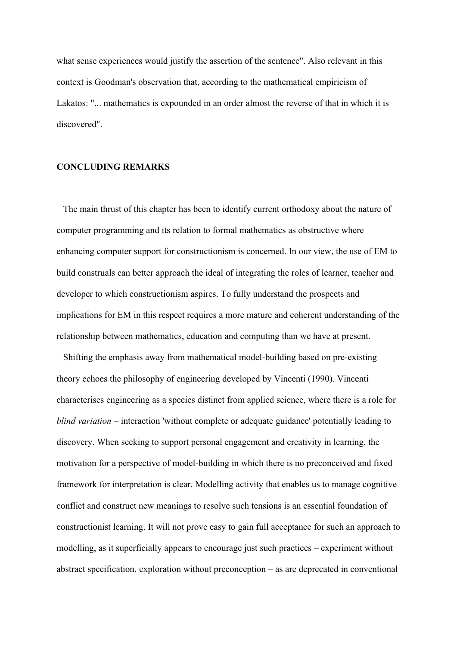what sense experiences would justify the assertion of the sentence". Also relevant in this context is Goodman's observation that, according to the mathematical empiricism of Lakatos: "... mathematics is expounded in an order almost the reverse of that in which it is discovered".

# **CONCLUDING REMARKS**

The main thrust of this chapter has been to identify current orthodoxy about the nature of computer programming and its relation to formal mathematics as obstructive where enhancing computer support for constructionism is concerned. In our view, the use of EM to build construals can better approach the ideal of integrating the roles of learner, teacher and developer to which constructionism aspires. To fully understand the prospects and implications for EM in this respect requires a more mature and coherent understanding of the relationship between mathematics, education and computing than we have at present.

Shifting the emphasis away from mathematical model-building based on pre-existing theory echoes the philosophy of engineering developed by Vincenti (1990). Vincenti characterises engineering as a species distinct from applied science, where there is a role for *blind variation* – interaction 'without complete or adequate guidance' potentially leading to discovery. When seeking to support personal engagement and creativity in learning, the motivation for a perspective of model-building in which there is no preconceived and fixed framework for interpretation is clear. Modelling activity that enables us to manage cognitive conflict and construct new meanings to resolve such tensions is an essential foundation of constructionist learning. It will not prove easy to gain full acceptance for such an approach to modelling, as it superficially appears to encourage just such practices – experiment without abstract specification, exploration without preconception – as are deprecated in conventional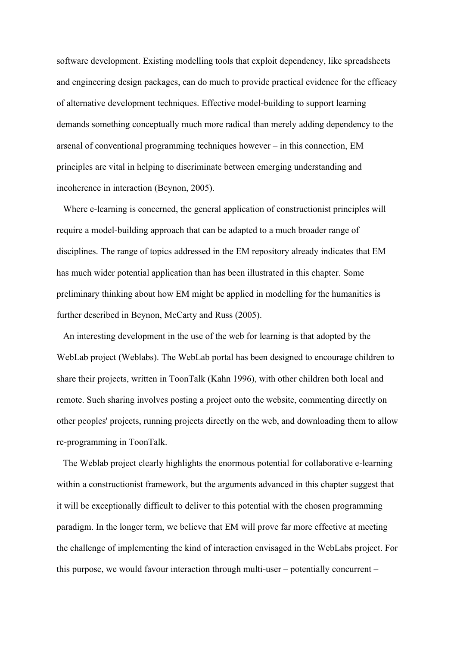software development. Existing modelling tools that exploit dependency, like spreadsheets and engineering design packages, can do much to provide practical evidence for the efficacy of alternative development techniques. Effective model-building to support learning demands something conceptually much more radical than merely adding dependency to the arsenal of conventional programming techniques however – in this connection, EM principles are vital in helping to discriminate between emerging understanding and incoherence in interaction (Beynon, 2005).

Where e-learning is concerned, the general application of constructionist principles will require a model-building approach that can be adapted to a much broader range of disciplines. The range of topics addressed in the EM repository already indicates that EM has much wider potential application than has been illustrated in this chapter. Some preliminary thinking about how EM might be applied in modelling for the humanities is further described in Beynon, McCarty and Russ (2005).

An interesting development in the use of the web for learning is that adopted by the WebLab project (Weblabs). The WebLab portal has been designed to encourage children to share their projects, written in ToonTalk (Kahn 1996), with other children both local and remote. Such sharing involves posting a project onto the website, commenting directly on other peoples' projects, running projects directly on the web, and downloading them to allow re-programming in ToonTalk.

The Weblab project clearly highlights the enormous potential for collaborative e-learning within a constructionist framework, but the arguments advanced in this chapter suggest that it will be exceptionally difficult to deliver to this potential with the chosen programming paradigm. In the longer term, we believe that EM will prove far more effective at meeting the challenge of implementing the kind of interaction envisaged in the WebLabs project. For this purpose, we would favour interaction through multi-user – potentially concurrent –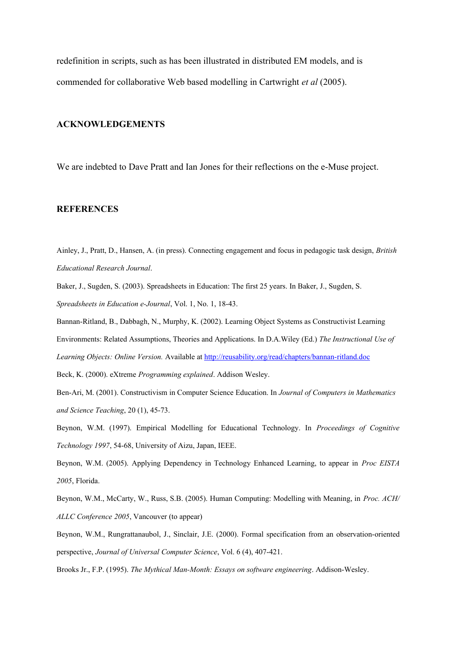redefinition in scripts, such as has been illustrated in distributed EM models, and is commended for collaborative Web based modelling in Cartwright *et al* (2005).

#### **ACKNOWLEDGEMENTS**

We are indebted to Dave Pratt and Ian Jones for their reflections on the e-Muse project.

#### **REFERENCES**

Ainley, J., Pratt, D., Hansen, A. (in press). Connecting engagement and focus in pedagogic task design, *British Educational Research Journal*.

Baker, J., Sugden, S. (2003). Spreadsheets in Education: The first 25 years. In Baker, J., Sugden, S. *Spreadsheets in Education e-Journal*, Vol. 1, No. 1, 18-43.

Bannan-Ritland, B., Dabbagh, N., Murphy, K. (2002). Learning Object Systems as Constructivist Learning Environments: Related Assumptions, Theories and Applications. In D.A.Wiley (Ed.) *The Instructional Use of Learning Objects: Online Version.* Available at<http://reusability.org/read/chapters/bannan-ritland.doc> Beck, K. (2000). eXtreme *Programming explained*. Addison Wesley.

Ben-Ari, M. (2001). Constructivism in Computer Science Education. In *Journal of Computers in Mathematics and Science Teaching*, 20 (1), 45-73.

Beynon, W.M. (1997). Empirical Modelling for Educational Technology. In *Proceedings of Cognitive Technology 1997*, 54-68, University of Aizu, Japan, IEEE.

Beynon, W.M. (2005). Applying Dependency in Technology Enhanced Learning, to appear in *Proc EISTA 2005*, Florida.

Beynon, W.M., McCarty, W., Russ, S.B. (2005). Human Computing: Modelling with Meaning, in *Proc. ACH/ ALLC Conference 2005*, Vancouver (to appear)

Beynon, W.M., Rungrattanaubol, J., Sinclair, J.E. (2000). Formal specification from an observation-oriented perspective, *Journal of Universal Computer Science*, Vol. 6 (4), 407-421.

Brooks Jr., F.P. (1995). *The Mythical Man-Month: Essays on software engineering*. Addison-Wesley.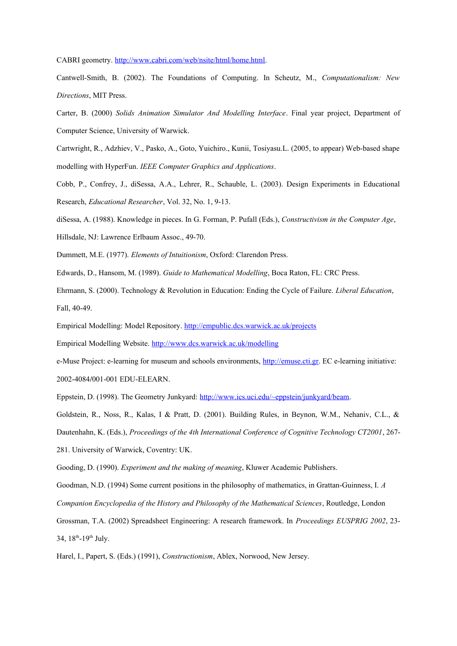CABRI geometry. [http://www.cabri.com/web/nsite/html/home.html.](http://www.cabri.com/web/nsite/html/home.html)

Cantwell-Smith, B. (2002). The Foundations of Computing. In Scheutz, M., *Computationalism: New Directions*, MIT Press.

Carter, B. (2000) *Solids Animation Simulator And Modelling Interface*. Final year project, Department of Computer Science, University of Warwick.

Cartwright, R., Adzhiev, V., Pasko, A., Goto, Yuichiro., Kunii, Tosiyasu.L. (2005, to appear) Web-based shape modelling with HyperFun. *IEEE Computer Graphics and Applications*.

Cobb, P., Confrey, J., diSessa, A.A., Lehrer, R., Schauble, L. (2003). Design Experiments in Educational Research, *Educational Researcher*, Vol. 32, No. 1, 9-13.

diSessa, A. (1988). Knowledge in pieces. In G. Forman, P. Pufall (Eds.), *Constructivism in the Computer Age*,

Hillsdale, NJ: Lawrence Erlbaum Assoc., 49-70.

Dummett, M.E. (1977). *Elements of Intuitionism*, Oxford: Clarendon Press.

Edwards, D., Hansom, M. (1989). *Guide to Mathematical Modelling*, Boca Raton, FL: CRC Press.

Ehrmann, S. (2000). Technology & Revolution in Education: Ending the Cycle of Failure. *Liberal Education*, Fall, 40-49.

Empirical Modelling: Model Repository.<http://empublic.dcs.warwick.ac.uk/projects>

Empirical Modelling Website.<http://www.dcs.warwick.ac.uk/modelling>

e-Muse Project: e-learning for museum and schools environments, [http://emuse.cti.gr.](http://emuse.cti.gr/) EC e-learning initiative: 2002-4084**/**001-001 EDU-ELEARN.

Eppstein, D. (1998). The Geometry Junkyard: [http://www.ics.uci.edu/~eppstein/junkyard/beam.](http://www.ics.uci.edu/~eppstein/junkyard/beam)

Goldstein, R., Noss, R., Kalas, I & Pratt, D. (2001). Building Rules, in Beynon, W.M., Nehaniv, C.L., & Dautenhahn, K. (Eds.), *Proceedings of the 4th International Conference of Cognitive Technology CT2001*, 267- 281. University of Warwick, Coventry: UK.

Gooding, D. (1990). *Experiment and the making of meaning*, Kluwer Academic Publishers.

Goodman, N.D. (1994) Some current positions in the philosophy of mathematics, in Grattan-Guinness, I. *A Companion Encyclopedia of the History and Philosophy of the Mathematical Sciences*, Routledge, London

Grossman, T.A. (2002) Spreadsheet Engineering: A research framework. In *Proceedings EUSPRIG 2002*, 23- 34, 18<sup>th</sup>-19<sup>th</sup> July.

Harel, I., Papert, S. (Eds.) (1991), *Constructionism*, Ablex, Norwood, New Jersey.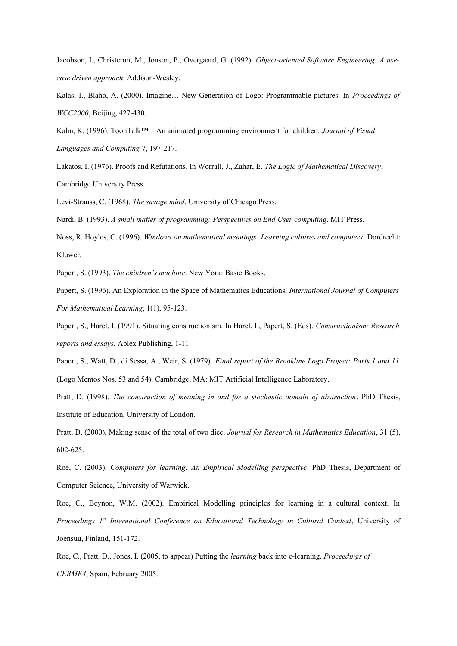Jacobson, I., Christeron, M., Jonson, P., Overgaard, G. (1992). *Object-oriented Software Engineering: A usecase driven approach*. Addison-Wesley.

Kalas, I., Blaho, A. (2000). Imagine… New Generation of Logo: Programmable pictures. In *Proceedings of WCC2000*, Beijing, 427-430.

Kahn, K. (1996). ToonTalk™ – An animated programming environment for children. *Journal of Visual Languages and Computing* 7, 197-217.

Lakatos, I. (1976). Proofs and Refutations. In Worrall, J., Zahar, E. *The Logic of Mathematical Discovery*, Cambridge University Press.

Levi-Strauss, C. (1968). *The savage mind*. University of Chicago Press.

Nardi, B. (1993). *A small matter of programming: Perspectives on End User computing*. MIT Press.

Noss, R. Hoyles, C. (1996). *Windows on mathematical meanings: Learning cultures and computers.* Dordrecht: Kluwer.

Papert, S. (1993). *The children's machine*. New York: Basic Books.

Papert, S. (1996). An Exploration in the Space of Mathematics Educations, *International Journal of Computers For Mathematical Learning*, 1(1), 95-123.

Papert, S., Harel, I. (1991). Situating constructionism. In Harel, I., Papert, S. (Eds). *Constructionism: Research reports and essays*, Ablex Publishing, 1-11.

Papert, S., Watt, D., di Sessa, A., Weir, S. (1979). *Final report of the Brookline Logo Project: Parts 1 and 11* (Logo Memos Nos. 53 and 54). Cambridge, MA: MIT Artificial Intelligence Laboratory.

Pratt, D. (1998). *The construction of meaning in and for a stochastic domain of abstraction*. PhD Thesis, Institute of Education, University of London.

Pratt, D. (2000), Making sense of the total of two dice, *Journal for Research in Mathematics Education*, 31 (5), 602-625.

Roe, C. (2003). *Computers for learning: An Empirical Modelling perspective*. PhD Thesis, Department of Computer Science, University of Warwick.

Roe, C., Beynon, W.M. (2002). Empirical Modelling principles for learning in a cultural context. In *Proceedings 1st International Conference on Educational Technology in Cultural Context*, University of Joensuu, Finland, 151-172.

Roe, C., Pratt, D., Jones, I. (2005, to appear) Putting the *learning* back into e-learning. *Proceedings of CERME4*, Spain, February 2005.